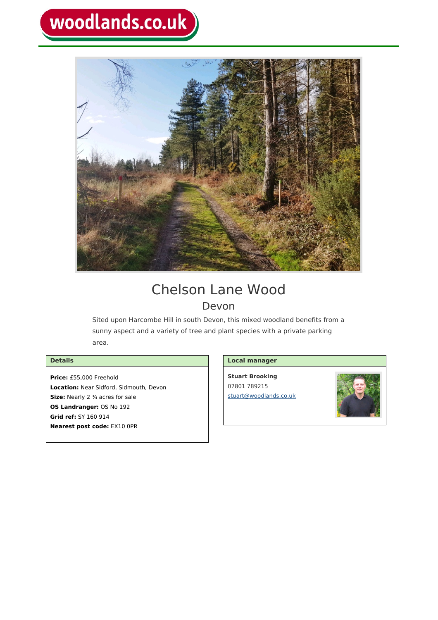# woodlands.co.uk



# Chelson Lane Wood Devon

Sited upon Harcombe Hill in south Devon, this mixed woodland benefits from a sunny aspect and a variety of tree and plant species with a private parking area.

# **Details**

**Price:** £55,000 Freehold **Location:** Near Sidford, Sidmouth, Devon **Size:** Nearly 2 ¾ acres for sale **OS Landranger:** OS No 192 **Grid ref:** SY 160 914 **Nearest post code:** EX10 0PR

## **Local manager**

**Stuart Brooking** 07801 789215 [stuart@woodlands.co.uk](mailto:stuart@woodlands.co.uk)

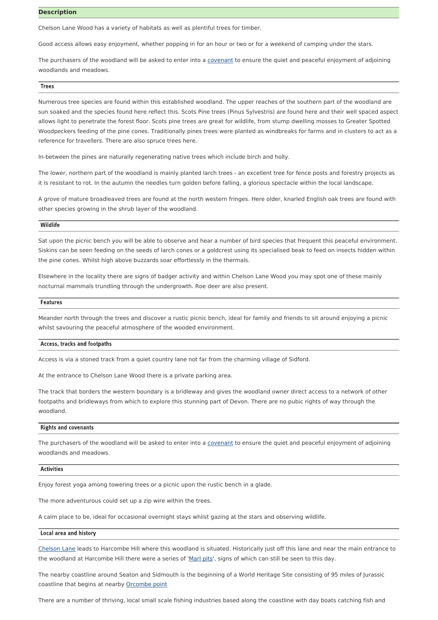#### **Description**

Chelson Lane Wood has a variety of habitats as well as plentiful trees for timber.

Good access allows easy enjoyment, whether popping in for an hour or two or for a weekend of camping under the stars.

The purchasers of the woodland will be asked to enter into a [covenant](https://www.woodlands.co.uk/buying-a-wood/covenant/) to ensure the quiet and peaceful enjoyment of adjoining woodlands and meadows.

#### **Trees**

Numerous tree species are found within this established woodland. The upper reaches of the southern part of the woodland are sun soaked and the species found here reflect this. Scots Pine trees (Pinus Sylvestris) are found here and their well spaced aspect allows light to penetrate the forest floor. Scots pine trees are great for wildlife, from stump dwelling mosses to Greater Spotted Woodpeckers feeding of the pine cones. Traditionally pines trees were planted as windbreaks for farms and in clusters to act as a reference for travellers. There are also spruce trees here.

In-between the pines are naturally regenerating native trees which include birch and holly.

The lower, northern part of the woodland is mainly planted larch trees - an excellent tree for fence posts and forestry projects as it is resistant to rot. In the autumn the needles turn golden before falling, a glorious spectacle within the local landscape.

A grove of mature broadleaved trees are found at the north western fringes. Here older, knarled English oak trees are found with other species growing in the shrub layer of the woodland.

#### Wildlife

Sat upon the picnic bench you will be able to observe and hear a number of bird species that frequent this peaceful environment. Siskins can be seen feeding on the seeds of larch cones or a goldcrest using its specialised beak to feed on insects hidden within the pine cones. Whilst high above buzzards soar effortlessly in the thermals.

Elsewhere in the locality there are signs of badger activity and within Chelson Lane Wood you may spot one of these mainly nocturnal mammals trundling through the undergrowth. Roe deer are also present.

#### Features

Meander north through the trees and discover a rustic picnic bench, ideal for family and friends to sit around enjoying a picnic whilst savouring the peaceful atmosphere of the wooded environment.

#### Access, tracks and footpaths

Access is via a stoned track from a quiet country lane not far from the charming village of Sidford.

At the entrance to Chelson Lane Wood there is a private parking area.

The track that borders the western boundary is a bridleway and gives the woodland owner direct access to a network of other footpaths and bridleways from which to explore this stunning part of Devon. There are no pubic rights of way through the woodland.

#### **Rights and covenants**

The purchasers of the woodland will be asked to enter into a [covenant](https://www.woodlands.co.uk/buying-a-wood/covenant/) to ensure the quiet and peaceful enjoyment of adjoining woodlands and meadows.

#### **Activities**

Enjoy forest yoga among towering trees or a picnic upon the rustic bench in a glade.

The more adventurous could set up a zip wire within the trees.

A calm place to be, ideal for occasional overnight stays whilst gazing at the stars and observing wildlife.

#### Local area and history

[Chelson](https://www.archiuk.com/cgi-bin/build_nls_historic_map.pl?map_location=EX10%200PR%20EX100PR%20in%20Sidmouth&search_location=EX10%200PR,%20EX100PR%20in%20Sidmouth,%20East%20Devon,%20Devon,%20England&os_series=1&is_sub=&pwd=&latitude=50.709122&longitude=-3.198033&postcode=EX10%200PR) Lane leads to Harcombe Hill where this woodland is situated. Historically just off this lane and near the main entrance to the woodland at Harcombe Hill there were a series of '[Marl](https://sandstonetrail.co.uk/ponds-and-marl-pits/) pits', signs of which can still be seen to this day.

The nearby coastline around Seaton and Sidmouth is the beginning of a World Heritage Site consisting of 95 miles of Jurassic coastline that begins at nearby [Orcombe](https://jurassiccoast.org/visit/attractions/exmouth/) point

There are a number of thriving, local small scale fishing industries based along the coastline with day boats catching fish and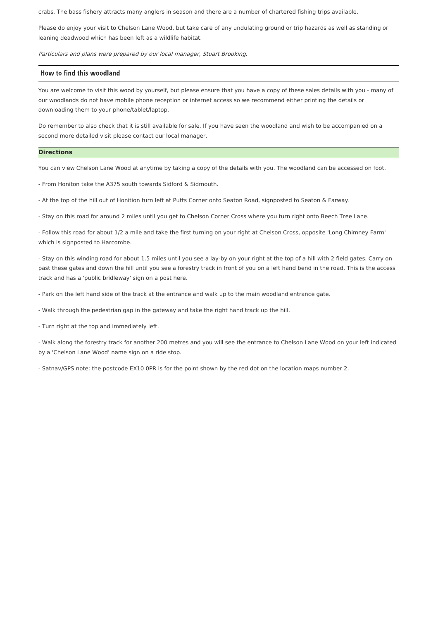crabs. The bass fishery attracts many anglers in season and there are a number of chartered fishing trips available.

Please do enjoy your visit to Chelson Lane Wood, but take care of any undulating ground or trip hazards as well as standing or leaning deadwood which has been left as a wildlife habitat.

Particulars and plans were prepared by our local manager, Stuart Brooking.

#### How to find this woodland

You are welcome to visit this wood by yourself, but please ensure that you have a copy of these sales details with you - many of our woodlands do not have mobile phone reception or internet access so we recommend either printing the details or downloading them to your phone/tablet/laptop.

Do remember to also check that it is still available for sale. If you have seen the woodland and wish to be accompanied on a second more detailed visit please contact our local manager.

#### **Directions**

You can view Chelson Lane Wood at anytime by taking a copy of the details with you. The woodland can be accessed on foot.

- From Honiton take the A375 south towards Sidford & Sidmouth.

- At the top of the hill out of Honition turn left at Putts Corner onto Seaton Road, signposted to Seaton & Farway.

- Stay on this road for around 2 miles until you get to Chelson Corner Cross where you turn right onto Beech Tree Lane.

- Follow this road for about 1/2 a mile and take the first turning on your right at Chelson Cross, opposite 'Long Chimney Farm' which is signposted to Harcombe.

- Stay on this winding road for about 1.5 miles until you see a lay-by on your right at the top of a hill with 2 field gates. Carry on past these gates and down the hill until you see a forestry track in front of you on a left hand bend in the road. This is the access track and has a 'public bridleway' sign on a post here.

- Park on the left hand side of the track at the entrance and walk up to the main woodland entrance gate.

- Walk through the pedestrian gap in the gateway and take the right hand track up the hill.

- Turn right at the top and immediately left.

- Walk along the forestry track for another 200 metres and you will see the entrance to Chelson Lane Wood on your left indicated by a 'Chelson Lane Wood' name sign on a ride stop.

- Satnav/GPS note: the postcode EX10 0PR is for the point shown by the red dot on the location maps number 2.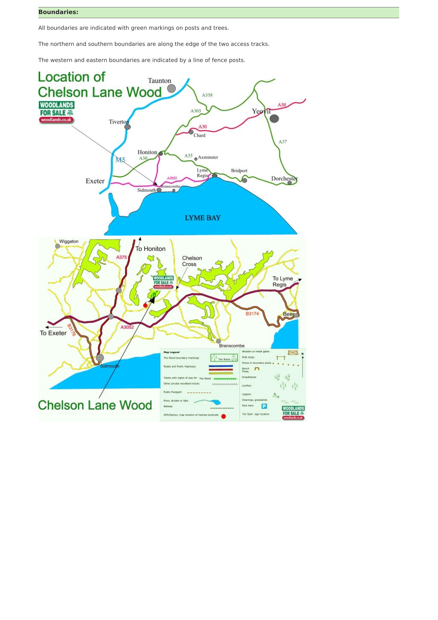### **Boundaries:**

All boundaries are indicated with green markings on posts and trees.

The northern and southern boundaries are along the edge of the two access tracks.

The western and eastern boundaries are indicated by a line of fence posts.